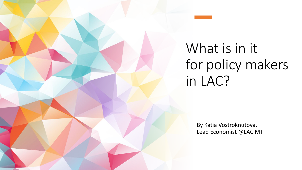What is in it for policy makers in LAC?

> By Katia Vostroknutova, Lead Economist @LAC MTI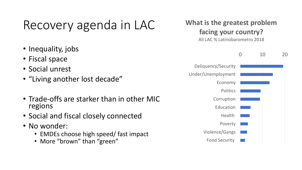## Recovery agenda in LAC

- Inequality, jobs
- Fiscal space
- Social unrest
- "Living another lost decade"
- Trade-offs are starker than in other MIC regions
- Social and fiscal closely connected
- No wonder:
	- EMDEs choose high speed/ fast impact
	- More "brown" than "green"



0 10 20 Deliquency/Security Under/Unemployment Economy **Politics** Corruption Education **Health** Poverty Violence/Gangs Food Security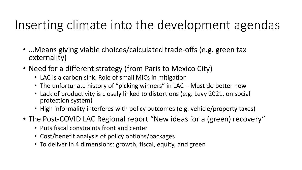## Inserting climate into the development agendas

- …Means giving viable choices/calculated trade-offs (e.g. green tax externality)
- Need for a different strategy (from Paris to Mexico City)
	- LAC is a carbon sink. Role of small MICs in mitigation
	- The unfortunate history of "picking winners" in LAC Must do better now
	- Lack of productivity is closely linked to distortions (e.g. Levy 2021, on social protection system)
	- High informality interferes with policy outcomes (e.g. vehicle/property taxes)
- The Post-COVID LAC Regional report "New ideas for a (green) recovery"
	- Puts fiscal constraints front and center
	- Cost/benefit analysis of policy options/packages
	- To deliver in 4 dimensions: growth, fiscal, equity, and green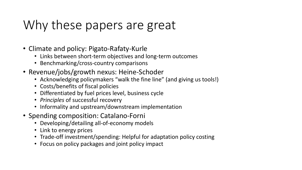## Why these papers are great

- Climate and policy: Pigato-Rafaty-Kurle
	- Links between short-term objectives and long-term outcomes
	- Benchmarking/cross-country comparisons
- Revenue/jobs/growth nexus: Heine-Schoder
	- Acknowledging policymakers "walk the fine line" (and giving us tools!)
	- Costs/benefits of fiscal policies
	- Differentiated by fuel prices level, business cycle
	- *Principles* of successful recovery
	- Informality and upstream/downstream implementation
- Spending composition: Catalano-Forni
	- Developing/detailing all-of-economy models
	- Link to energy prices
	- Trade-off investment/spending: Helpful for adaptation policy costing
	- Focus on policy packages and joint policy impact